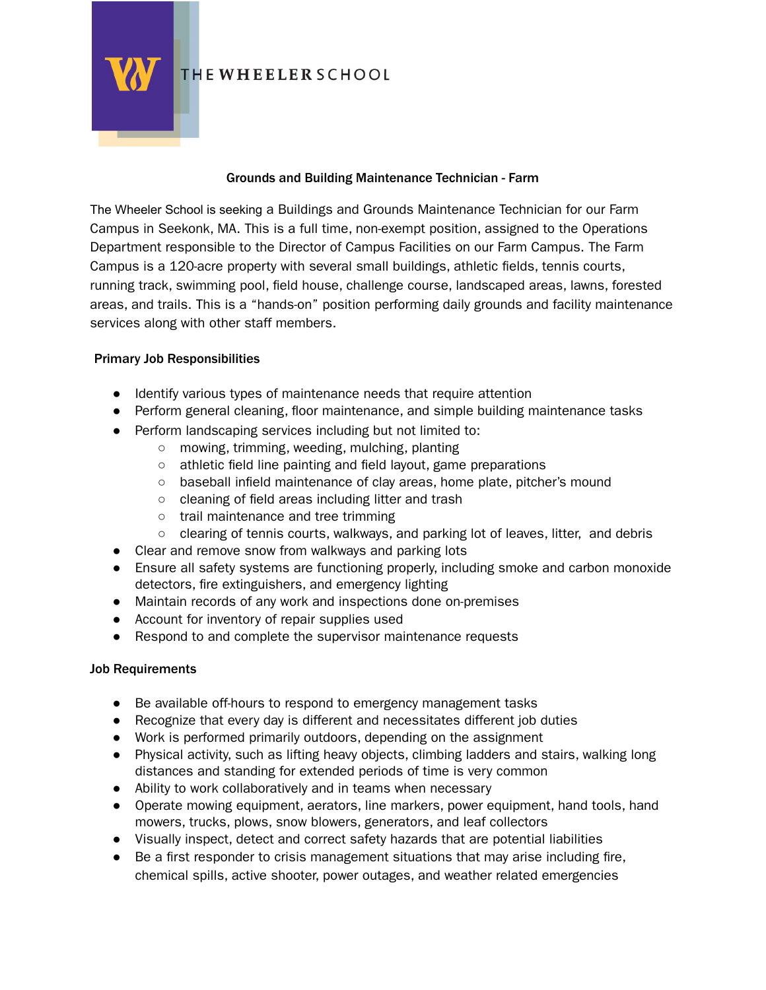

THE WHEELER SCHOOL

#### Grounds and Building Maintenance Technician - Farm

The Wheeler School is seeking a Buildings and Grounds Maintenance Technician for our Farm Campus in Seekonk, MA. This is a full time, non-exempt position, assigned to the Operations Department responsible to the Director of Campus Facilities on our Farm Campus. The Farm Campus is a 120-acre property with several small buildings, athletic fields, tennis courts, running track, swimming pool, field house, challenge course, landscaped areas, lawns, forested areas, and trails. This is a "hands-on" position performing daily grounds and facility maintenance services along with other staff members.

#### Primary Job Responsibilities

- Identify various types of maintenance needs that require attention
- Perform general cleaning, floor maintenance, and simple building maintenance tasks
- Perform landscaping services including but not limited to:
	- mowing, trimming, weeding, mulching, planting
	- athletic field line painting and field layout, game preparations
	- baseball infield maintenance of clay areas, home plate, pitcher's mound
	- cleaning of field areas including litter and trash
	- trail maintenance and tree trimming
	- clearing of tennis courts, walkways, and parking lot of leaves, litter, and debris
- Clear and remove snow from walkways and parking lots
- Ensure all safety systems are functioning properly, including smoke and carbon monoxide detectors, fire extinguishers, and emergency lighting
- Maintain records of any work and inspections done on-premises
- Account for inventory of repair supplies used
- Respond to and complete the supervisor maintenance requests

# Job Requirements

- Be available off-hours to respond to emergency management tasks
- Recognize that every day is different and necessitates different job duties
- Work is performed primarily outdoors, depending on the assignment
- Physical activity, such as lifting heavy objects, climbing ladders and stairs, walking long distances and standing for extended periods of time is very common
- Ability to work collaboratively and in teams when necessary
- Operate mowing equipment, aerators, line markers, power equipment, hand tools, hand mowers, trucks, plows, snow blowers, generators, and leaf collectors
- Visually inspect, detect and correct safety hazards that are potential liabilities
- Be a first responder to crisis management situations that may arise including fire, chemical spills, active shooter, power outages, and weather related emergencies